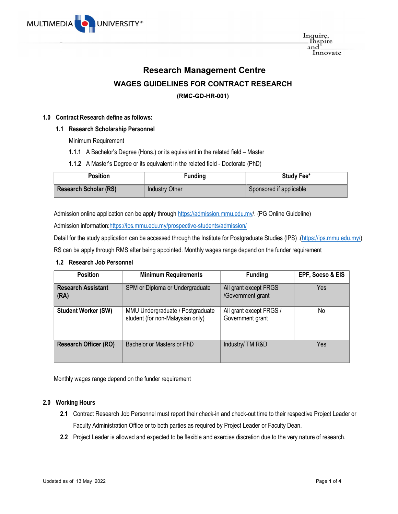

Inquire,<br>\_Inspire and Innovate

# Research Management Centre

# WAGES GUIDELINES FOR CONTRACT RESEARCH

# (RMC-GD-HR-001)

#### 1.0 Contract Research define as follows:

#### 1.1 Research Scholarship Personnel

Minimum Requirement

- 1.1.1 A Bachelor's Degree (Hons.) or its equivalent in the related field Master
- 1.1.2 A Master's Degree or its equivalent in the related field Doctorate (PhD)

| Position                     | Funding        | Study Fee*              |
|------------------------------|----------------|-------------------------|
| <b>Research Scholar (RS)</b> | Industry Other | Sponsored if applicable |

Admission online application can be apply through https://admission.mmu.edu.my/. (PG Online Guideline)

Admission information:https://ips.mmu.edu.my/prospective-students/admission/

Detail for the study application can be accessed through the Institute for Postgraduate Studies (IPS) .(https://ips.mmu.edu.my/) RS can be apply through RMS after being appointed. Monthly wages range depend on the funder requirement

# 1.2 Research Job Personnel

| <b>Position</b>                   | <b>Minimum Requirements</b>                                          | <b>Funding</b>                              | EPF, Socso & EIS |
|-----------------------------------|----------------------------------------------------------------------|---------------------------------------------|------------------|
| <b>Research Assistant</b><br>(RA) | SPM or Diploma or Undergraduate                                      | All grant except FRGS<br>/Government grant  | Yes              |
| <b>Student Worker (SW)</b>        | MMU Undergraduate / Postgraduate<br>student (for non-Malaysian only) | All grant except FRGS /<br>Government grant | No               |
| <b>Research Officer (RO)</b>      | Bachelor or Masters or PhD                                           | Industry/ TM R&D                            | Yes              |

Monthly wages range depend on the funder requirement

#### 2.0 Working Hours

- 2.1 Contract Research Job Personnel must report their check-in and check-out time to their respective Project Leader or Faculty Administration Office or to both parties as required by Project Leader or Faculty Dean.
- 2.2 Project Leader is allowed and expected to be flexible and exercise discretion due to the very nature of research.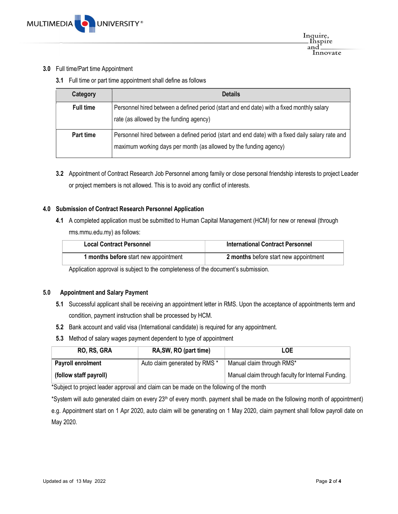### 3.0 Full time/Part time Appointment

3.1 Full time or part time appointment shall define as follows

| Category         | <b>Details</b>                                                                                                                                                        |
|------------------|-----------------------------------------------------------------------------------------------------------------------------------------------------------------------|
| <b>Full time</b> | Personnel hired between a defined period (start and end date) with a fixed monthly salary<br>rate (as allowed by the funding agency)                                  |
| Part time        | Personnel hired between a defined period (start and end date) with a fixed daily salary rate and<br>maximum working days per month (as allowed by the funding agency) |

3.2 Appointment of Contract Research Job Personnel among family or close personal friendship interests to project Leader or project members is not allowed. This is to avoid any conflict of interests.

# 4.0 Submission of Contract Research Personnel Application

4.1 A completed application must be submitted to Human Capital Management (HCM) for new or renewal (through rms.mmu.edu.my) as follows:

| <b>Local Contract Personnel</b>       | <b>International Contract Personnel</b> |
|---------------------------------------|-----------------------------------------|
| 1 months before start new appointment | 2 months before start new appointment   |

Application approval is subject to the completeness of the document's submission.

#### 5.0 Appointment and Salary Payment

- 5.1 Successful applicant shall be receiving an appointment letter in RMS. Upon the acceptance of appointments term and condition, payment instruction shall be processed by HCM.
- 5.2 Bank account and valid visa (International candidate) is required for any appointment.
- 5.3 Method of salary wages payment dependent to type of appointment

| RO, RS, GRA              | RA, SW, RO (part time)        | LOE                                                |
|--------------------------|-------------------------------|----------------------------------------------------|
| <b>Payroll enrolment</b> | Auto claim generated by RMS * | Manual claim through RMS*                          |
| (follow staff payroll)   |                               | Manual claim through faculty for Internal Funding. |

\*Subject to project leader approval and claim can be made on the following of the month

\*System will auto generated claim on every  $23<sup>th</sup>$  of every month. payment shall be made on the following month of appointment) e.g. Appointment start on 1 Apr 2020, auto claim will be generating on 1 May 2020, claim payment shall follow payroll date on May 2020.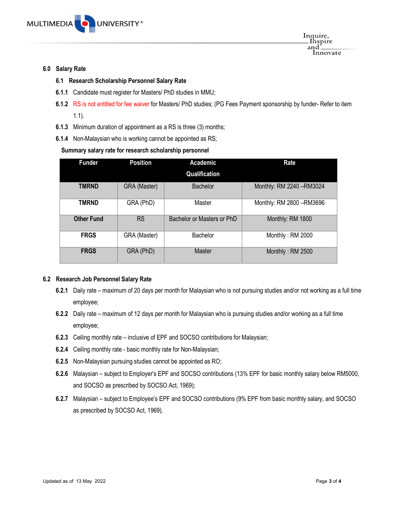

6.0 Salary Rate

### 6.1 Research Scholarship Personnel Salary Rate

- 6.1.1 Candidate must register for Masters/ PhD studies in MMU;
- 6.1.2 RS is not entitled for fee waiver for Masters/ PhD studies; (PG Fees Payment sponsorship by funder- Refer to item 1.1).
- 6.1.3 Minimum duration of appointment as a RS is three (3) months;
- 6.1.4 Non-Malaysian who is working cannot be appointed as RS;

# Summary salary rate for research scholarship personnel

| <b>Funder</b>     | <b>Position</b> | Academic                   | Rate                      |
|-------------------|-----------------|----------------------------|---------------------------|
|                   |                 | Qualification              |                           |
| <b>TMRND</b>      | GRA (Master)    | <b>Bachelor</b>            | Monthly: RM 2240 - RM3024 |
| <b>TMRND</b>      | GRA (PhD)       | Master                     | Monthly: RM 2800 - RM3696 |
| <b>Other Fund</b> | <b>RS</b>       | Bachelor or Masters or PhD | Monthly: RM 1800          |
| <b>FRGS</b>       | GRA (Master)    | Bachelor                   | Monthly: RM 2000          |
| <b>FRGS</b>       | GRA (PhD)       | <b>Master</b>              | Monthly: RM 2500          |

#### 6.2 Research Job Personnel Salary Rate

- 6.2.1 Daily rate maximum of 20 days per month for Malaysian who is not pursuing studies and/or not working as a full time employee;
- 6.2.2 Daily rate maximum of 12 days per month for Malaysian who is pursuing studies and/or working as a full time employee;
- 6.2.3 Ceiling monthly rate inclusive of EPF and SOCSO contributions for Malaysian;
- 6.2.4 Ceiling monthly rate basic monthly rate for Non-Malaysian;
- 6.2.5 Non-Malaysian pursuing studies cannot be appointed as RO;
- 6.2.6 Malaysian subject to Employer's EPF and SOCSO contributions (13% EPF for basic monthly salary below RM5000, and SOCSO as prescribed by SOCSO Act, 1969);
- 6.2.7 Malaysian subject to Employee's EPF and SOCSO contributions (9% EPF from basic monthly salary, and SOCSO as prescribed by SOCSO Act, 1969).

Inquire,<br>\_Inspire and

Innovate